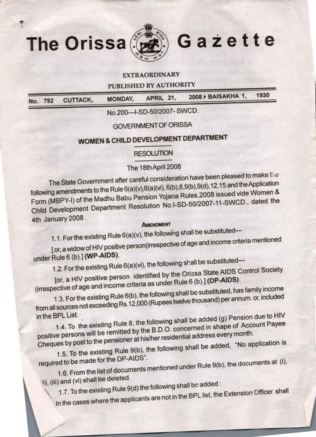

*J*

۴

The Orissa Gazette

# EXTRAORDINARY

PUBLISHED BY AUTHORITY

|  | No. 792 CUTTACK, | <b>MONDAY,</b> | APRIL 21, | 2008 / BAISAKHA 1, | 1930 |  |
|--|------------------|----------------|-----------|--------------------|------|--|
|  |                  |                |           |                    |      |  |
|  |                  |                |           |                    |      |  |

No.200-1-SD-50/2007- SWCD.

# GOVERNMENT OF ORISSA

# **WOMEN** & **CHILD DEVELOPMENT DEPARTMENT**

# RESOLUTION

# The 18thApril 2008

The State Government after careful consideration have been pleased to make the following amendments to the Rule 6(a)(v),6(a)(vi), 6(b),8,9(b),9(d),12,15 and the Application . Form (MBPY-I) of the Madhu Babu Pension Yojana Rules,2008 issued vide Women & Child Development Department Resolution No.l-SD-50/2007-11-SWCD., dated the . 4th January 2008.

# **AMENDMENT**

1.1. For the existing Rule  $6(a)(v)$ , the following shall be substituted-

[ or, awidow of HIV positive person(irrespective of age and income criteria mentioned under Rule 6 (b).] **(WP-AIDS).**

1.2. For the existing Rule 6(a)(vi), the following shall be substituted-

[or, a HIV positive person identified by the Orissa State AIDS Control Society (irrespective ofage and income criteria as under Rule 6(b).] **(DP-AIDS)**

1.3. Forthe existing Rule 6(b), the following shall be substituted, has family income from all sources not exceeding Rs.12,000 (Rupees twelvethousand) per annum. or, included

in the BPL List. 1.4. To the existing Rule 8, the following shall be added (g) Pension due to HIV positive persons will be remitted by the B.D.O. concerned in shape of Account Payee Cheques by post to the pensioner at his/her residential address every month.

1.5. To the existing Rule 9(b), the following shall be added, "No application is \ required to be made for the DP-AIDS".

1.6. From the list of documents mentioned under Rule 9(b), the documents at (i), i), (iii) and (vi) shall be deleted.

1.7. To the existing Rule 9(d) the following shall be added :

*---*

In the cases where the applicants are not in the BPL list, the Extension Officer shall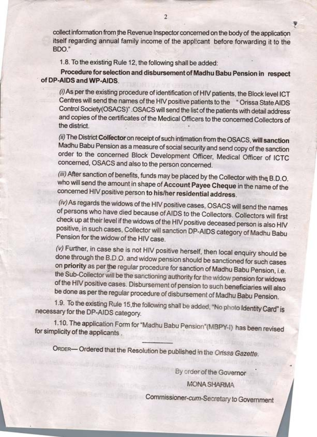collect information from the Revenue Inspector concerned on the body of the application itself regarding annual family income of the applicant before forwarding it to the BOO."

**y**

¢

1.8. To the existing Rule 12, the following shall be added:

'-

**Procedure for selection and disbursement of Madhu Babu Pension in respect of DP-AIDS and WP-AIDS.**

*(i)*As perthe existing procedure of identification of HIV patients, the Block level ICT Centres will send the names of the HIV positive patients to the "Orissa StateAIDS Control Society(OSACS)" .OSACS will send the list of the patients with detail address· and copies of the certificates of the Medical Officers to the concerned Collectors of the district.

*(ii)* The District **Collector** on receipt of such intimation from the OSACS, **Will sanction** Madhu Babu Pension as a measure of social security and send copy of the sanction· order to the concerned Block Development Officer, Medical Officer of ICTC concerned, OSACS and also to the person concerned.

*(iii)* After sanction of benefits, funds may be placed by the Collectorwith the B.D.O. who will send the amount in shape of **Account Payee Cheque** in the name of the concerned HIV positive person **to his/her residential address.**

*(iv)*As regards the widows of the HIV positive cases, OSACS will send the names of persons who have died because ofAIDS to the Collectors. Collectors will first check up at their level if the widows of the HIV positive deceased person is also HIV positive, in such cases, Collector will sanction DP-AIDS category of Madhu Babu Pension for the widow of the HIV case.

*(u)* Further, in case she is not HIV positive herself, then local enquiry should be done through the B.D.O. and widow pension should be sanctioned for such cases ablic diffusion the B.D.D. and widow pension should be sanctioned for such cases<br>on **priority** as per the regular procedure for sanction of Madhu Babu Pension, i.e. the Sub-Collector will be the sanctioning authority for the widow pension for widows of the HIV positive cases. Disbursement of pension to such beneficiaries will also be done as perthe regular procedure of disbursement of Madhu Babu Pension.

1.9. To the existing Rule 15,the following shall be added, "No photo Identity Card" is necessary for the DP-AIDS category.

1.10. The application Form for "Madhu Babu Pension"(MBPY-f} has been revised for simplicity of the applicants .

ORDER-Ordered that the Resolution be published in the *Orissa Gazette.*

By order of the Governor

**MONA SHARMA**

Commissioner-cum-Secretary to Government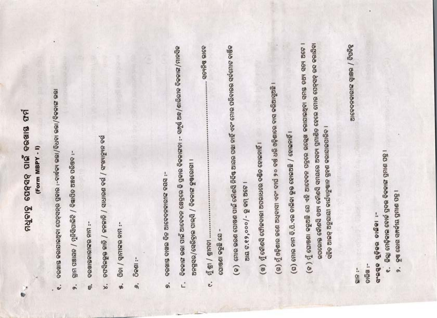# ମଧୁବାହୁ ସେନ୍ସବ୍ ପାଇଁ ବରଖାୟ ଫର୍ମ (Form MBPY - I)

- ତରଖାୟ କରାଯାଇଥିବା ପେଟ୍ସସନ୍ର ପ୍ରକାର :-ବାର୍ଦ୍ଧକା ରଭା/ବିଧବା ରଭା/ବିକଳାଙ୍ଗ ରଭା  $\mathbf{e}^{\mathbf{i}}$
- ତ୍ରାମ ପଞାୟତ / ମୁନିସିପାଲିଟି / ବିଜ୍ଞାପିତ ଅଞ୍ଚଳ ପରିଷଦ oi
- **OGNISCIGISC RIFI:** ę
- ଚଫସିଇଭୁର କାଡି / ଜନଜାତି / ସାଧାରଣ ବର୍ଗ / ସଂଖ୍ୟାତ୍ୟୁନ ବର୍ଗ  $\dot{\mathbf{z}}$
- gei / diuitee uu :-%,
- Seen:-9,
- ବରଖାୟ ଦାଖଲ ଦିନ ଆବେଦନକାରୀଙ୍କ ବୟସ :ø,
- ତିକଳାଙ୍ଗ ରଭା ପାଇଁ ଆବେଦନ କ୍ଷେତ୍ରରେ କି ପ୍ରକାର ବିକଳାଙ୍ଗତା :- ସମ୍ପୂର୍ଣ ଅନ୍ଧ/ଶାରିରୀକ ବିକଳାଙ୍ଗ/ମାନସିକ ଅନଗୁସର/ସେରିହାଇ ପାଲ୍ସି / ବିଜଳାଙ୍କ କୁଷରୋଗୀ ।  $\vec{L}$
- ....... ସତ୍ୟନିଷ୍ଠ ରାବେ ସୋଷଣା କରୁଛି ଯେ -ମୁଁ ଶ୍ରୀ / ଶ୍ରୀମତୀ .... i
	- (କ) ତମାର ଭରଣ ପୋଷଣ ପାଇଁ କୌଣସି ନିର୍ଦିଷ୍ଟ ଆୟର ପଛା ନାହିଁ ଏବଂ ମୋର ପରିବାରର ସର୍ବମୋଟ ବାଷିକ ଅାୟ ଟ.୧୨,୦୦୦/- ରୁ କମ୍ ଅଟେ
- (ଖ) ମୁଁ କୌଣସି ଫୌଳଦାରୀ ଅପରାଧରେ ଦର୍ଷିତ ହୋଇନାହିଁ ।
- (ଗ) ମୁଁ ଓଡ଼ିଶାର ଇଣେ ଅଧିବାସୀ ଏବଂ ଦୀର୍ଘ ୨୦ ବର୍ଷ ଧରି ଓଡ଼ିଶାରେ ବାସ କରିଆସୁଅଛି ।
- (ଘ) ମୋର ନାମ ବି.ପି.ଏଲ ଚାଲିକା ଜୁକ୍ତ ହୋଇଅଛି / ହୋଇନାହିଁ ।
- (ତ ) ମୁଁ ଘୋଷଣା କରୁଅଛି ଯେ ଏହି ଆବେଦନ ପତ୍ରରେ ଉଲ୍ଲେଖ କରାଯାଇଥିବା ସମୟ ତଥ୍ୟ ସଚ୍ୟ ଅଟେ । ଭପରୋକ୍ତ କୌଣସି ତଥ୍ୟ କୌଣସି ସମୟରେ ଅସତ୍ୟ ପ୍ରମାଣିତ ହେଲେ ମୋର ପେନ୍ସସନ୍ ରଦ କରାଯିବା ସହିତ ଆଇଟ୍ ଅନୁଯାୟୀ କାର୍ଯ୍ୟାନୁଷାନ ଗ୍ରହଣ କରାଯାଇପାରିବ ।

ଚାରିଖ<sup>:-</sup>

-: 818

ସଂଇଷ୍ଟ ଗୁଡ଼ିକର ଚାଇିକା :-

- କିଲ୍ଲା ଟୋଡ଼ିକାଲ ବୋର୍ଡ ପ୍ରବର କିଳାଳା ପ୍ରମାଶ ପତ୍ର । e:
- ତୁଷ ରୋଗ ସମ୍ପର୍କୀୟ ପ୍ରମାଶ ପତ୍ର 9.

2909 / 9819 SiGBScoold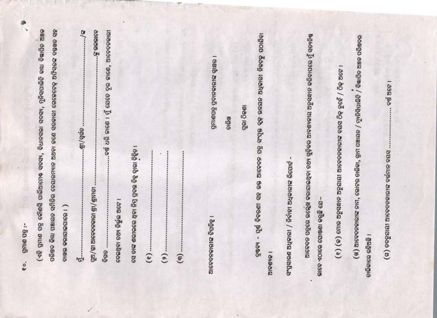| ପରିଷତ କିୟା ପଞାୟତ ସମିତିର ତେୟାରମ୍ୟାନ ଅଥବା ଳଣେ ସରକାରୀ ଗେଜେଟେଢ଼ ଅଫିସରଙ୍କ ଦୟଖତ ସହ<br>ି ରଲଗରେ କୁ<br>ବର୍ଷ ଧରି ଜାଣେ । ମୁଁ ଯେତେ ଦୂର ଜାଣେ, ଆବେଦନକାରୀ<br>ଦ୍ରଷ୍ଟ୍ୟ - ପୂର୍ଷ ବିବରଣୀ ସହ ଉକ୍ତ ଆବେଦନ ପତ୍ର ସଂପୃକ୍ତ ବୃଢ଼ ଉନ୍ଦୟନ ଅଧିକାରୀ ନିକଟକୁ ପଠାଯିବା<br>ଆଦେବନ ପତ୍ରରେ ଉଲ୍ଲେଖ କରାଯାଇଥିବା ତଥ୍ୟ ଗୁଡ଼ିକର ଆବଶ୍ୟକୀୟ ଅନୁସନ୍ଧାନ କରିବାପରେ ମୁଁ ସତ୍ୟନିଷ୍ଣ<br>(ଖ୍ର) ଆବେବନକାରୀଙ୍କ ନାମ, ଭୋଟର ଚାଲିକା, ଗ୍ରାମ ପଞ୍ଚାୟତ / ମ୍ୟୁନିସିପାଲିଟି / ବିଜ୍ଞାପିତ ଅଞ୍ଚଳ ପରିଷଦର<br>। ଓଷାତି ଅବାବନାଦନ୍ତି ବିଦ୍ରାଧନ୍ତି<br>(୧) (କ) ମୋର ଅନୁସନ୍ଧାନ ଅନୁଯାୟୀ ଆବେଦନକାରୀଙ୍କ ବୟସ ଠିକ୍ ନୁହେଁ / ଠିକ୍ ଅଟେ ।<br>1.892.88<br>ପୁରା ଠିକଣା<br>ଚାରିଖ<br>90/966<br>(ଗ) ତତନୁଯାୟୀ ଆବେଦନକାରୀଙ୍କ ବର୍ତ୍ତମାନ ବୟସ<br>ସେ ତାଙ୍କ ଶରୀରରେ ଥିବା ନିମ୍ନ ପ୍ରବର ଚିହୁ ଦ୍ୱାରା ଚିହ୍ନିତ ।<br>ସଂପ୍ରସାରଣ ଅଧିକାରୀ / ନିର୍ବାହୀ ଅଧିକାରୀଙ୍କ ରିପୋର୍ଟ -<br>$92/91$ ଆବେଦଳକାରୀ ଶ୍ରୀ/ଶ୍ରୀମତୀ<br>ଇାବେ ଏଠାରେ ଘୋଷଣା କରୁଛି ଯେ–<br>ତେଇଥିବା ତଥ୍ୟ ନିର୍ଭୁଇ ଅଟେ ।<br>ଦାଖଳ କରାଯାଇପାରେ ।)<br>। ବିଶ୍ରପତ୍ତି ଆଡାକନଦତାଥ<br>ଚାଳିକାରେ ରହିଅଛି ।<br>ି ଖିଞ୍ଚି<br>$(e)$<br>$\frac{1}{2}$ .<br>ą<br>$\left( \mathfrak{m}\right)$ . |
|----------------------------------------------------------------------------------------------------------------------------------------------------------------------------------------------------------------------------------------------------------------------------------------------------------------------------------------------------------------------------------------------------------------------------------------------------------------------------------------------------------------------------------------------------------------------------------------------------------------------------------------------------------------------------------------------------------------------------------------------------------------------------------------------------------------------------------------------------------------------------------------------------------------------------------------------------------------------------------------------------|
|----------------------------------------------------------------------------------------------------------------------------------------------------------------------------------------------------------------------------------------------------------------------------------------------------------------------------------------------------------------------------------------------------------------------------------------------------------------------------------------------------------------------------------------------------------------------------------------------------------------------------------------------------------------------------------------------------------------------------------------------------------------------------------------------------------------------------------------------------------------------------------------------------------------------------------------------------------------------------------------------------|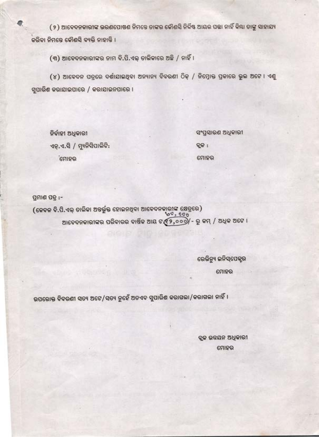( ୨ ) ଆବେଦନକାରୀଙ୍କ ଭରଣପୋଷଣ ନିମତେ ତାଙ୍କର କୌଣସି ନିର୍ଦ୍ଦିଷ୍ଟ ଆୟର ପତ୍ତା ନାହିଁ କିୟା ତାଙ୍କୁ ସାହାଯ୍ୟ କରିବା ନିମତେ କୌଣସି ବ୍ୟକ୍ତି ନାହାଡି ।

(୩) ଆବେଦନକାରୀଙ୍କର ନାମ ବି.ପି.ଏକ୍ ଡାଲିକାରେ ଅଛି / ନାହିଁ ।

(୪) ଆବେଦନ ପତ୍ରରେ ଦର୍ଶାଯାଇଥିବା ଅନ୍ୟାନ୍ୟ ବିବରଣୀ ଠିକ୍ / ନିମ୍ରୋକ୍ତ ପ୍ରକାରେ ଭୁଲ ଅଟେ । ଏଣୁ ସୁପାରିଶ କରାଯାଇପାରେ / କରାଯାଇନପାରେ ।

ନିର୍ବାହୀ ଅଧିକାରୀ ଏନ୍.ଏ.ସି / ମ୍ୟୁନିସିପାଲିଟି: ଗୋହର

ସଂପ୍ରସାରଣ ଅଧିକାରୀ

ବୁଜ :

ମୋହର

ପ୍ରମାଶ ପତ୍ର :-

(କେବଳ ବି.ପି.ଏଲ୍ ତାଲିକା ଅବର୍ଲୁକ୍ତ ହୋଇନଥିବା ଆବେଦନକାରୀଙ୍କ କ୍ଷେତ୍ରରେ)  $60,000$ ଆବେଦନକାରୀଙ୍କର ପରିବାରର ବାର୍ଷିକ ଆୟ ଟ $\mathfrak{C}9, \circ \circ \mathcal{Y}$ - ରୁ କମ୍ / ଅଧିକ ଅଟେ ।

ରେଭିନ୍ୟୁ ଇନିସ୍ପେକ୍ଟର

ମୋହର

ଉପରୋକ୍ତ ବିବରଣୀ ସତ୍ୟ ଅଟେ/ସତ୍ୟ ନୁହେଁ ଅତଏବ ସୁପାରିଶ କରାଗଲା/କରାଗଲା ନାହିଁ ।

**START CONTRACTOR** 

ବୁକ ଉଚ୍ଚୟନ ଅଧିକାରୀ ମୋହର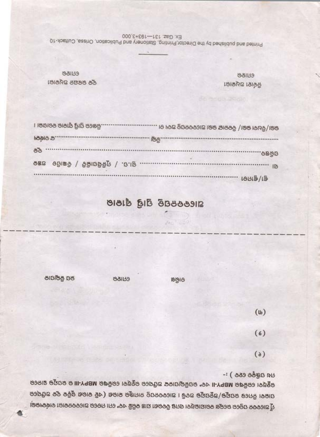୦ଥିଥିବା ୧୦୦୫ରେ MBPY-II ଏବଂ ଉପକିଲ୍ୟାନଙ୍କ ଅଫିସରେ ରହୁଥିବା ରେଜିଷ୍ର MBPY-III ର ଉପଯୁକ୍ତ ଭାଟରେ ସାହତା ନିମରେ ରସଯୁକ/ଅନୁସମୁକ ଅଟେ । ଆବେବନପତ୍ର ନାମଞ୍ଜୁର ହାରଣ (ଏହି କାରଣ ଗୁଡ଼ିକ ଦୂଚ ଅଫିସ୍ରେ ମୁଁ ଆବେବନ ପ୍ରକ୍ରରେ ଉଲ୍ଲେଖ କରାଯାଇଥିବା ସମନ୍ତ ବିବରଣୀ ଯାଞ୍ଚ କରିଛି ଏବଂ ମୋ ମଚରେ ଆବେବନକାରୀ ବାର୍ଦ୍ଧ୍ୟକାରରା

 $49.8988881$ :

 $(\mathbf{b})$ 

 $(6)$ 

 $(8)$ 

ଇଲା/ବିଧାବା ଭଭା/ ବିକଳାଙ୍ଗ ଭଭା ଆବେବନସନ୍ତୁ ଅଦ୍ୟ ଚା ..................

ରପ କିଲ୍ଲାପାକ

 $898$ 

**John** 

88139

ଆଡେବନପତ୍ର ପ୍ରାପ୍ତି ସ୍ୱୀକାର

| <b>MASIA 5</b> | ౹౷౷                              |         |
|----------------|----------------------------------|---------|
| 88             |                                  | ବ୍ରଷତ:  |
| 982            | ଶା.ସ. / ମୁନିଶିପାଳିଟି / ବିଜ୍ଞାପିତ | IB      |
|                |                                  | 1815/15 |

88139 ୬୧ ବର୍ଷର ଅଧିକାରୀ

. ।ଜାରେ ପ୍ରାସ୍ତି ସ୍ୱୀହାର କରାଗଲା ।

881139 ନିର୍ବାହୀ ଅଧିକାରୀ

Ex Gaz 131-193+3,000 Printed and published by the Director, Printing, Stationery and Publication, Orissa, Cuttack-10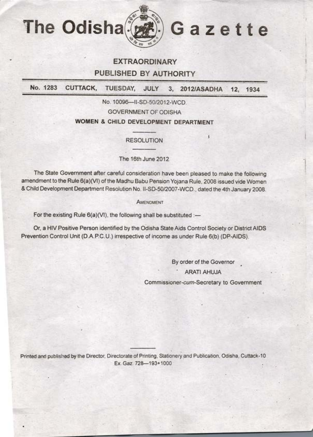

# **EXTRAORDINARY**

# **PUBLISHED BY AUTHORITY**

**No. 1283 CUTTACK, TUESDAY, JULY 3, 2012/ASADHA 12, 1934**

*No:* 10096-II-SD-50/2012-WCD.

GOVERNMENT OF ODISHA

# **WOMEN & CHILD DEVELOPMENT DEPARTMENT**

# RESOLUTION

The 16th June 2012

The State Government after careful consideration have been pleased to make the following amendment to the Rule 6(a)(VI) of the Madhu Babu Pension Yojana Huie, 2008 issued vide Women &Child Development Oepartment Resolution No. II-SD-50/2007-WCD., dated the 4th January 2008.

AMENDMENT

For the existing Rule  $6(a)(V1)$ , the following shall be substituted :-

Or, a HIV Positive Person identified by the Odisha State Aids Control Society or District AIDS . Prevention Control Unit (D.A.PC.U.) irrespective of income as under Rule 6(b) (DP-AIDS).

By order of the Governor

l .I

I

l

ARATI AHUJA

Commissioner-cum-Secretary to Government

Printed and published by the Director, Directorate of Printing, Stationery and Publication, Odisha, Cuttack-10 Ex.Gaz. 728-193+1000

/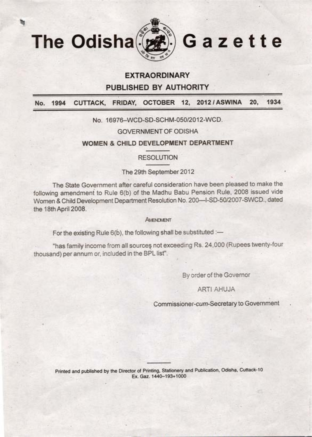

# **EXTRAORDINARY**

**PUBLISHED BY AUTHORITY**

**No. 1994 CUTTACK, FRIDAY, OCTOBER 12, 2012 / ASWINA 20, 1934**

# No. 16976-WCD-SD-SCHM-050/2012-WCD.

GOVERNMENT OF ODISHA

# **WOMEN & CHILD DEVELOPMENT DEPARTMENT**

# RESOLUTION

# . The 29th September 2012

The State Government after careful consideration have been pleased to make the following amendment to Rule 6(b) of the Madhu Babu Pension Rule, 2008 issued vide Women & Child Development Department Resolution No. 200-I-SD-50/2007-SWCD., dated the 18th April 2008.

### **AMENDMENT**

For the existing Rule  $6(b)$ , the following shall be substituted :-

•

"has family income from all sources not exceeding Rs. 24,000 (Rupees twenty-four thousand) per annum or, included in the BPL list".

By order of the Governor

# ART! AHUJA

Commissioner-cum-Secretary to Government

**Printed and published by the Director of Printing, Stationery and Publication, Odisha, Cuttack-10 · Ex. Ga2. 1440-193+1000**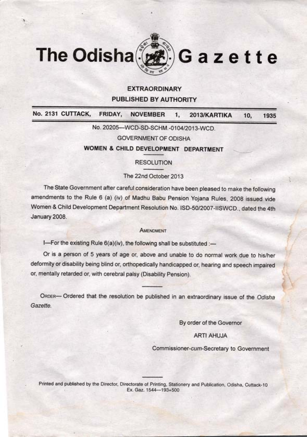

# **EXTRAORDINARY PUBLISHED BY AUTHORITY**

**No. 2131 CUTTACK, FRIDAY, NOVEMBER 1, 2013/KARTIKA 10, 1935**

No. 20205-WCD-SD-SCHM.-0104/2013-WCD.

GOVERNMENT OF ODISHA

**WOMEN & CHILD DEVELOPMENT DEPARTMENT**

RESOLUTION

# The 22nd October 2013

The State Government after careful consideration have been pleased to make the following amendments to the Rule <sup>6</sup> (a) (iv) of Madhu Babu Pension Yojana Rules, 2008 issued vide Women & Child Development Department Resolution No. ISD-50/2007-IISWCD., dated the 4th January 2008.

### AMENDMENT

I-For the existing Rule 6(a)(iv), the following shall be substituted :-

Or is <sup>a</sup> person of 5 years of age or, above and unable to do normal work due to his/her deformity or disability being-blind or, orthopedically handicapped or, hearing and speech impaired or, mentally retarded or, with cerebral palsy (Disability Pension).

ORDER- Ordered that the resolution be published in an extraordinary issue of the *Odisha Gazette.*

By order of the Governor

# ARTI AHUJA

Commissioner-cum-Secretary to Government

Printed and published by the Director, Directorate of Printing, Stationery and Publication, Odisha, Cuttack-10 Ex. Gaz. 1544-193+500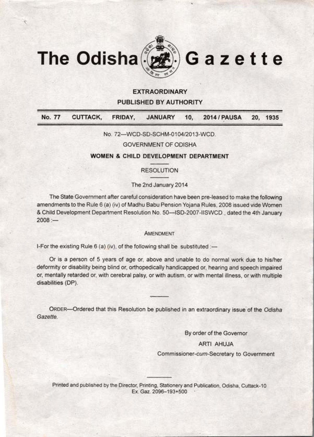

# **EXTRAORDINARY**

**PUBLISHED BY AUTHORITY**

|  |  | No. 77 CUTTACK, FRIDAY, JANUARY 10, 2014 / PAUSA 20, 1935 |  |
|--|--|-----------------------------------------------------------|--|

### No. 72-WCD-SD-SCHM-0104/2013-WCD.

### GOVERNMENT OF ODISHA

# **WOMEN & CHILD DEVELOPMENT DEPARTMENT**

# RESOLUTION

# The 2nd January 2014

The State Government after careful consideration have been pre-leased to make the following amendments to the Rule <sup>6</sup> (a) (iv) of Madhu Babu Pension Yojana Rules, 2008 issued vide Women amendments to the Rule 6 (a) (iv) of Madhu Babu Pension Yojana Rules, 2008 issued vide Women<br>& Child Development Department Resolution No. 50—ISD-2007-IISWCD , dated the 4th January & Child I<br>2008 :—

### **AMENDMENT**

I-For the existing Rule 6 (a) (iv), of the following shall be substituted :-

Or is <sup>a</sup> person of <sup>5</sup> years of age or, above and unable to do normal work due to his/her deformity or disability being blind or, orthopedically handicapped or, hearing and speech impaired or, mentally retarded or, with cerebral palsy, or with autism, or with mental illness, or with multiple disabilities (DP).

ORDER-Ordered that this Resolution be published in an extraordinary issue of the Odisha *Gazette.*

By order of the Governor

• <sup>I</sup>

# ARTI AHUJA

Commissioner-cum-Secretary to Government

Printed and published by the Director, Printing, Stationery and Publication, Odisha, Cuttack-10 Ex. Gaz. 2096--193+500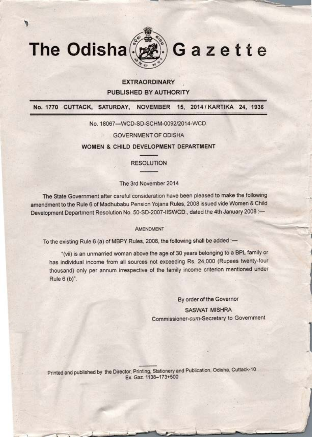

# EXTRAORDINARY PUBLISHED BY AUTHORITY

No. 1770 CUTTACK, SATURDAY, NOVEMBER 15, 2014 /KARTIKA 24, 1936

No. 18067-WCD-SD-SCHM-0092/2014-WCD

GOVERNMENT OF ODISHA

**WOMEN** & **CHILD DEVELOPMENT DEPARTMENT**

RESOLUTION

The 3rd November 2014

The State Government after careful consideration have been pleased to make the foltowing amendment to the Rule 6 of Madhubabu Pension Yojana Rules, 2008 issued vide Women & Child - Development Department Resolution No. 50-SD-2007-1ISWCD., dated the 4th January 2008 .

AMENDMENT

To the existing Rule 6 (a) of MBPY Rules, 2008, the following shall be added :-

"(vii) is an unmarried woman above the ageof <sup>30</sup> years belonging to <sup>a</sup> BPL family or has individual income from all sources not exceeding Rs. 24,000 (Rupees twenty-four thousand) only per annum irrespective of the family income criterion mentioned under Rule 6 (b)".

> By order of the Governor **SASWAT MISHRA** Commissioner-cum-Secretary to Government

> > ]

Printed and published by the Director, Printing, Stationery and Publication, Odisha, Cuttack-10 Ex:Gaz. 1138-173+500 ·